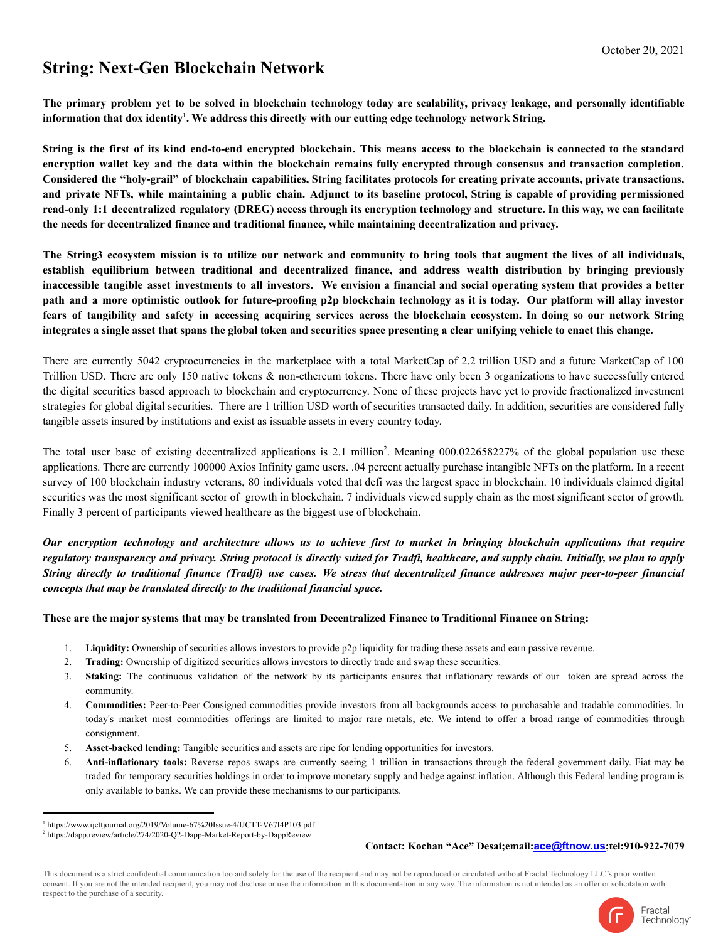## **String: Next-Gen Blockchain Network**

The primary problem yet to be solved in blockchain technology today are scalability, privacy leakage, and personally identifiable information that dox identity<sup>1</sup>. We address this directly with our cutting edge technology network String.

String is the first of its kind end-to-end encrypted blockchain. This means access to the blockchain is connected to the standard encryption wallet key and the data within the blockchain remains fully encrypted through consensus and transaction completion. Considered the "holy-grail" of blockchain capabilities, String facilitates protocols for creating private accounts, private transactions, and private NFTs, while maintaining a public chain. Adjunct to its baseline protocol, String is capable of providing permissioned read-only 1:1 decentralized regulatory (DREG) access through its encryption technology and structure. In this way, we can facilitate **the needs for decentralized finance and traditional finance, while maintaining decentralization and privacy.**

The String3 ecosystem mission is to utilize our network and community to bring tools that augment the lives of all individuals, **establish equilibrium between traditional and decentralized finance, and address wealth distribution by bringing previously** inaccessible tangible asset investments to all investors. We envision a financial and social operating system that provides a better path and a more optimistic outlook for future-proofing p2p blockchain technology as it is today. Our platform will allay investor fears of tangibility and safety in accessing acquiring services across the blockchain ecosystem. In doing so our network String integrates a single asset that spans the global token and securities space presenting a clear unifying vehicle to enact this change.

There are currently 5042 cryptocurrencies in the marketplace with a total MarketCap of 2.2 trillion USD and a future MarketCap of 100 Trillion USD. There are only 150 native tokens & non-ethereum tokens. There have only been 3 organizations to have successfully entered the digital securities based approach to blockchain and cryptocurrency. None of these projects have yet to provide fractionalized investment strategies for global digital securities. There are 1 trillion USD worth of securities transacted daily. In addition, securities are considered fully tangible assets insured by institutions and exist as issuable assets in every country today.

The total user base of existing decentralized applications is  $2.1$  million<sup>2</sup>. Meaning 000.022658227% of the global population use these applications. There are currently 100000 Axios Infinity game users. .04 percent actually purchase intangible NFTs on the platform. In a recent survey of 100 blockchain industry veterans, 80 individuals voted that defi was the largest space in blockchain. 10 individuals claimed digital securities was the most significant sector of growth in blockchain. 7 individuals viewed supply chain as the most significant sector of growth. Finally 3 percent of participants viewed healthcare as the biggest use of blockchain.

Our encryption technology and architecture allows us to achieve first to market in bringing blockchain applications that require regulatory transparency and privacy. String protocol is directly suited for Tradfi, healthcare, and supply chain. Initially, we plan to apply String directly to traditional finance (Tradfi) use cases. We stress that decentralized finance addresses major peer-to-peer financial *concepts that may be translated directly to the traditional financial space.*

## These are the major systems that may be translated from Decentralized Finance to Traditional Finance on String:

- 1. **Liquidity:** Ownership of securities allows investors to provide p2p liquidity for trading these assets and earn passive revenue.
- 2. **Trading:** Ownership of digitized securities allows investors to directly trade and swap these securities.
- 3. **Staking:** The continuous validation of the network by its participants ensures that inflationary rewards of our token are spread across the community.
- 4. **Commodities:** Peer-to-Peer Consigned commodities provide investors from all backgrounds access to purchasable and tradable commodities. In today's market most commodities offerings are limited to major rare metals, etc. We intend to offer a broad range of commodities through consignment.
- 5. **Asset-backed lending:** Tangible securities and assets are ripe for lending opportunities for investors.
- 6. **Anti-inflationary tools:** Reverse repos swaps are currently seeing 1 trillion in transactions through the federal government daily. Fiat may be traded for temporary securities holdings in order to improve monetary supply and hedge against inflation. Although this Federal lending program is only available to banks. We can provide these mechanisms to our participants.

## **Contact: Kochan "Ace" Desai;email:[ace@ftnow.us](mailto:ace@ftnow.us);tel:910-922-7079**

This document is a strict confidential communication too and solely for the use of the recipient and may not be reproduced or circulated without Fractal Technology LLC's prior written consent. If you are not the intended recipient, you may not disclose or use the information in this documentation in any way. The information is not intended as an offer or solicitation with respect to the purchase of a security.



Fractal Technology<sup>-</sup>

<sup>1</sup> https://www.ijcttjournal.org/2019/Volume-67%20Issue-4/IJCTT-V67I4P103.pdf

<sup>&</sup>lt;sup>2</sup> https://dapp.review/article/274/2020-Q2-Dapp-Market-Report-by-DappReview